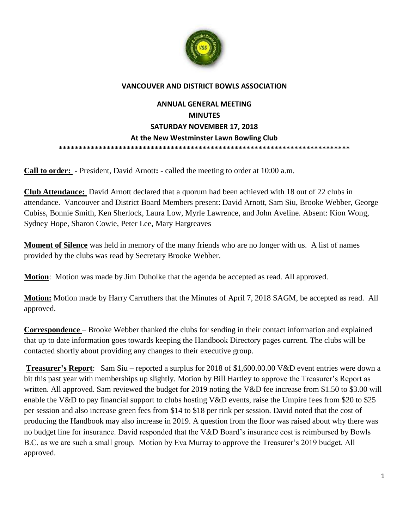

## **VANCOUVER AND DISTRICT BOWLS ASSOCIATION**

## **ANNUAL GENERAL MEETING MINUTES SATURDAY NOVEMBER 17, 2018 At the New Westminster Lawn Bowling Club \*\*\*\*\*\*\*\*\*\*\*\*\*\*\*\*\*\*\*\*\*\*\*\*\*\*\*\*\*\*\*\*\*\*\*\*\*\*\*\*\*\*\*\*\*\*\*\*\*\*\*\*\*\*\*\*\*\*\*\*\*\*\*\*\*\*\*\*\*\*\*\*\***

**Call to order: -** President, David Arnott**: -** called the meeting to order at 10:00 a.m.

**Club Attendance:** David Arnott declared that a quorum had been achieved with 18 out of 22 clubs in attendance. Vancouver and District Board Members present: David Arnott, Sam Siu, Brooke Webber, George Cubiss, Bonnie Smith, Ken Sherlock, Laura Low, Myrle Lawrence, and John Aveline. Absent: Kion Wong, Sydney Hope, Sharon Cowie, Peter Lee, Mary Hargreaves

**Moment of Silence** was held in memory of the many friends who are no longer with us. A list of names provided by the clubs was read by Secretary Brooke Webber.

**Motion**: Motion was made by Jim Duholke that the agenda be accepted as read. All approved.

**Motion:** Motion made by Harry Carruthers that the Minutes of April 7, 2018 SAGM, be accepted as read. All approved.

**Correspondence** – Brooke Webber thanked the clubs for sending in their contact information and explained that up to date information goes towards keeping the Handbook Directory pages current. The clubs will be contacted shortly about providing any changes to their executive group.

**Treasurer's Report**: Sam Siu **–** reported a surplus for 2018 of \$1,600.00.00 V&D event entries were down a bit this past year with memberships up slightly. Motion by Bill Hartley to approve the Treasurer's Report as written. All approved. Sam reviewed the budget for 2019 noting the V&D fee increase from \$1.50 to \$3.00 will enable the V&D to pay financial support to clubs hosting V&D events, raise the Umpire fees from \$20 to \$25 per session and also increase green fees from \$14 to \$18 per rink per session. David noted that the cost of producing the Handbook may also increase in 2019. A question from the floor was raised about why there was no budget line for insurance. David responded that the V&D Board's insurance cost is reimbursed by Bowls B.C. as we are such a small group. Motion by Eva Murray to approve the Treasurer's 2019 budget. All approved.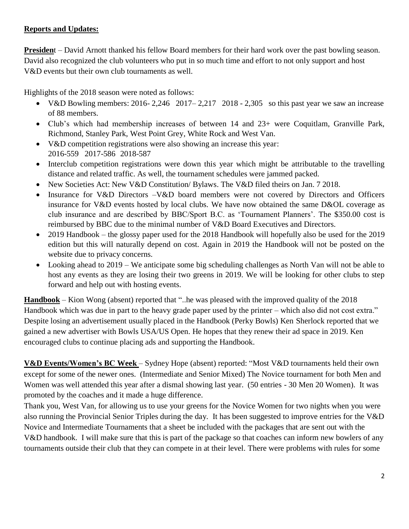## **Reports and Updates:**

**Presiden**t – David Arnott thanked his fellow Board members for their hard work over the past bowling season. David also recognized the club volunteers who put in so much time and effort to not only support and host V&D events but their own club tournaments as well.

Highlights of the 2018 season were noted as follows:

- V&D Bowling members:  $2016 2,246$  2017–2,217 2018 2,305 so this past year we saw an increase of 88 members.
- Club's which had membership increases of between 14 and 23+ were Coquitlam, Granville Park, Richmond, Stanley Park, West Point Grey, White Rock and West Van.
- V&D competition registrations were also showing an increase this year: 2016-559 2017-586 2018-587
- Interclub competition registrations were down this year which might be attributable to the travelling distance and related traffic. As well, the tournament schedules were jammed packed.
- New Societies Act: New V&D Constitution/ Bylaws. The V&D filed theirs on Jan. 7 2018.
- Insurance for V&D Directors –V&D board members were not covered by Directors and Officers insurance for V&D events hosted by local clubs. We have now obtained the same D&OL coverage as club insurance and are described by BBC/Sport B.C. as 'Tournament Planners'. The \$350.00 cost is reimbursed by BBC due to the minimal number of V&D Board Executives and Directors.
- 2019 Handbook the glossy paper used for the 2018 Handbook will hopefully also be used for the 2019 edition but this will naturally depend on cost. Again in 2019 the Handbook will not be posted on the website due to privacy concerns.
- Looking ahead to 2019 We anticipate some big scheduling challenges as North Van will not be able to host any events as they are losing their two greens in 2019. We will be looking for other clubs to step forward and help out with hosting events.

**Handbook** – Kion Wong (absent) reported that "..he was pleased with the improved quality of the 2018 Handbook which was due in part to the heavy grade paper used by the printer – which also did not cost extra." Despite losing an advertisement usually placed in the Handbook (Perky Bowls) Ken Sherlock reported that we gained a new advertiser with Bowls USA/US Open. He hopes that they renew their ad space in 2019. Ken encouraged clubs to continue placing ads and supporting the Handbook.

**V&D Events/Women's BC Week** – Sydney Hope (absent) reported: "Most V&D tournaments held their own except for some of the newer ones. (Intermediate and Senior Mixed) The Novice tournament for both Men and Women was well attended this year after a dismal showing last year. (50 entries - 30 Men 20 Women). It was promoted by the coaches and it made a huge difference.

Thank you, West Van, for allowing us to use your greens for the Novice Women for two nights when you were also running the Provincial Senior Triples during the day. It has been suggested to improve entries for the V&D Novice and Intermediate Tournaments that a sheet be included with the packages that are sent out with the V&D handbook. I will make sure that this is part of the package so that coaches can inform new bowlers of any tournaments outside their club that they can compete in at their level. There were problems with rules for some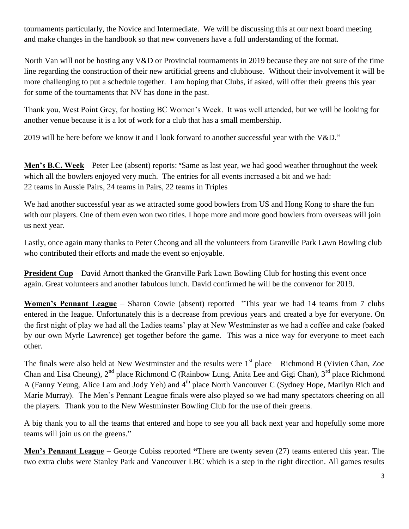tournaments particularly, the Novice and Intermediate. We will be discussing this at our next board meeting and make changes in the handbook so that new conveners have a full understanding of the format.

North Van will not be hosting any V&D or Provincial tournaments in 2019 because they are not sure of the time line regarding the construction of their new artificial greens and clubhouse. Without their involvement it will be more challenging to put a schedule together. I am hoping that Clubs, if asked, will offer their greens this year for some of the tournaments that NV has done in the past.

Thank you, West Point Grey, for hosting BC Women's Week. It was well attended, but we will be looking for another venue because it is a lot of work for a club that has a small membership.

2019 will be here before we know it and I look forward to another successful year with the V&D."

**Men's B.C. Week** – Peter Lee (absent) reports: "Same as last year, we had good weather throughout the week which all the bowlers enjoyed very much. The entries for all events increased a bit and we had: 22 teams in Aussie Pairs, 24 teams in Pairs, 22 teams in Triples

We had another successful year as we attracted some good bowlers from US and Hong Kong to share the fun with our players. One of them even won two titles. I hope more and more good bowlers from overseas will join us next year.

Lastly, once again many thanks to Peter Cheong and all the volunteers from Granville Park Lawn Bowling club who contributed their efforts and made the event so enjoyable.

**President Cup** – David Arnott thanked the Granville Park Lawn Bowling Club for hosting this event once again. Great volunteers and another fabulous lunch. David confirmed he will be the convenor for 2019.

**Women's Pennant League** – Sharon Cowie (absent) reported "This year we had 14 teams from 7 clubs entered in the league. Unfortunately this is a decrease from previous years and created a bye for everyone. On the first night of play we had all the Ladies teams' play at New Westminster as we had a coffee and cake (baked by our own Myrle Lawrence) get together before the game. This was a nice way for everyone to meet each other.

The finals were also held at New Westminster and the results were  $1<sup>st</sup>$  place – Richmond B (Vivien Chan, Zoe Chan and Lisa Cheung), 2<sup>nd</sup> place Richmond C (Rainbow Lung, Anita Lee and Gigi Chan), 3<sup>rd</sup> place Richmond A (Fanny Yeung, Alice Lam and Jody Yeh) and 4<sup>th</sup> place North Vancouver C (Sydney Hope, Marilyn Rich and Marie Murray). The Men's Pennant League finals were also played so we had many spectators cheering on all the players. Thank you to the New Westminster Bowling Club for the use of their greens.

A big thank you to all the teams that entered and hope to see you all back next year and hopefully some more teams will join us on the greens."

**Men's Pennant League** – George Cubiss reported **"**There are twenty seven (27) teams entered this year. The two extra clubs were Stanley Park and Vancouver LBC which is a step in the right direction. All games results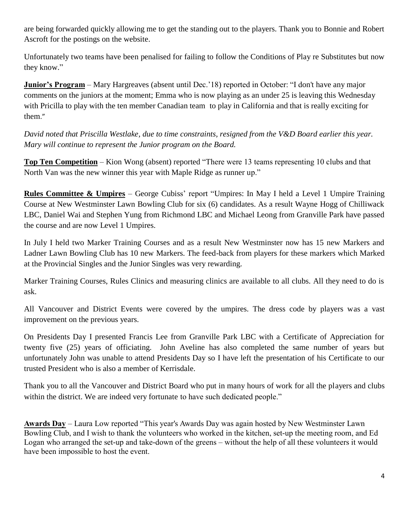are being forwarded quickly allowing me to get the standing out to the players. Thank you to Bonnie and Robert Ascroft for the postings on the website.

Unfortunately two teams have been penalised for failing to follow the Conditions of Play re Substitutes but now they know."

**Junior's Program** – Mary Hargreaves (absent until Dec.'18) reported in October: "I don't have any major comments on the juniors at the moment; Emma who is now playing as an under 25 is leaving this Wednesday with Pricilla to play with the ten member Canadian team to play in California and that is really exciting for them."

*David noted that Priscilla Westlake, due to time constraints, resigned from the V&D Board earlier this year. Mary will continue to represent the Junior program on the Board.*

**Top Ten Competition** – Kion Wong (absent) reported "There were 13 teams representing 10 clubs and that North Van was the new winner this year with Maple Ridge as runner up."

**Rules Committee & Umpires** – George Cubiss' report "Umpires: In May I held a Level 1 Umpire Training Course at New Westminster Lawn Bowling Club for six (6) candidates. As a result Wayne Hogg of Chilliwack LBC, Daniel Wai and Stephen Yung from Richmond LBC and Michael Leong from Granville Park have passed the course and are now Level 1 Umpires.

In July I held two Marker Training Courses and as a result New Westminster now has 15 new Markers and Ladner Lawn Bowling Club has 10 new Markers. The feed-back from players for these markers which Marked at the Provincial Singles and the Junior Singles was very rewarding.

Marker Training Courses, Rules Clinics and measuring clinics are available to all clubs. All they need to do is ask.

All Vancouver and District Events were covered by the umpires. The dress code by players was a vast improvement on the previous years.

On Presidents Day I presented Francis Lee from Granville Park LBC with a Certificate of Appreciation for twenty five (25) years of officiating. John Aveline has also completed the same number of years but unfortunately John was unable to attend Presidents Day so I have left the presentation of his Certificate to our trusted President who is also a member of Kerrisdale.

Thank you to all the Vancouver and District Board who put in many hours of work for all the players and clubs within the district. We are indeed very fortunate to have such dedicated people."

**Awards Day** – Laura Low reported "This year's Awards Day was again hosted by New Westminster Lawn Bowling Club, and I wish to thank the volunteers who worked in the kitchen, set-up the meeting room, and Ed Logan who arranged the set-up and take-down of the greens – without the help of all these volunteers it would have been impossible to host the event.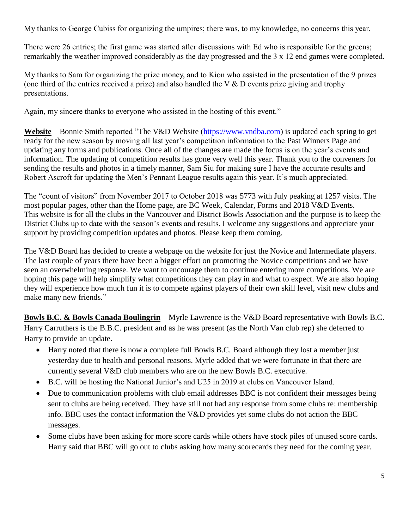My thanks to George Cubiss for organizing the umpires; there was, to my knowledge, no concerns this year.

There were 26 entries; the first game was started after discussions with Ed who is responsible for the greens; remarkably the weather improved considerably as the day progressed and the 3 x 12 end games were completed.

My thanks to Sam for organizing the prize money, and to Kion who assisted in the presentation of the 9 prizes (one third of the entries received a prize) and also handled the V & D events prize giving and trophy presentations.

Again, my sincere thanks to everyone who assisted in the hosting of this event."

Website – Bonnie Smith reported "The V&D Website (https://www.vndba.com) is updated each spring to get ready for the new season by moving all last year's competition information to the Past Winners Page and updating any forms and publications. Once all of the changes are made the focus is on the year's events and information. The updating of competition results has gone very well this year. Thank you to the conveners for sending the results and photos in a timely manner, Sam Siu for making sure I have the accurate results and Robert Ascroft for updating the Men's Pennant League results again this year. It's much appreciated.

The "count of visitors" from November 2017 to October 2018 was 5773 with July peaking at 1257 visits. The most popular pages, other than the Home page, are BC Week, Calendar, Forms and 2018 V&D Events. This website is for all the clubs in the Vancouver and District Bowls Association and the purpose is to keep the District Clubs up to date with the season's events and results. I welcome any suggestions and appreciate your support by providing competition updates and photos. Please keep them coming.

The V&D Board has decided to create a webpage on the website for just the Novice and Intermediate players. The last couple of years there have been a bigger effort on promoting the Novice competitions and we have seen an overwhelming response. We want to encourage them to continue entering more competitions. We are hoping this page will help simplify what competitions they can play in and what to expect. We are also hoping they will experience how much fun it is to compete against players of their own skill level, visit new clubs and make many new friends."

**Bowls B.C. & Bowls Canada Boulingrin** – Myrle Lawrence is the V&D Board representative with Bowls B.C. Harry Carruthers is the B.B.C. president and as he was present (as the North Van club rep) she deferred to Harry to provide an update.

- Harry noted that there is now a complete full Bowls B.C. Board although they lost a member just yesterday due to health and personal reasons. Myrle added that we were fortunate in that there are currently several V&D club members who are on the new Bowls B.C. executive.
- B.C. will be hosting the National Junior's and U25 in 2019 at clubs on Vancouver Island.
- Due to communication problems with club email addresses BBC is not confident their messages being sent to clubs are being received. They have still not had any response from some clubs re: membership info. BBC uses the contact information the V&D provides yet some clubs do not action the BBC messages.
- Some clubs have been asking for more score cards while others have stock piles of unused score cards. Harry said that BBC will go out to clubs asking how many scorecards they need for the coming year.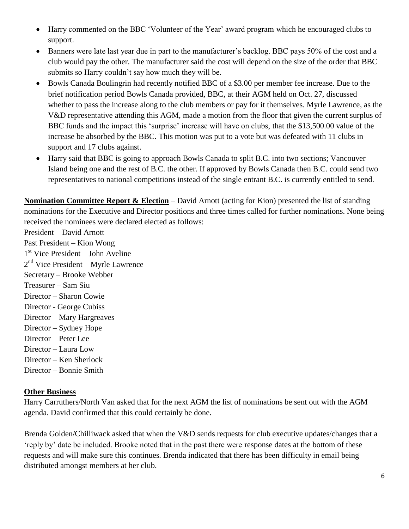- Harry commented on the BBC 'Volunteer of the Year' award program which he encouraged clubs to support.
- Banners were late last year due in part to the manufacturer's backlog. BBC pays 50% of the cost and a club would pay the other. The manufacturer said the cost will depend on the size of the order that BBC submits so Harry couldn't say how much they will be.
- Bowls Canada Boulingrin had recently notified BBC of a \$3.00 per member fee increase. Due to the brief notification period Bowls Canada provided, BBC, at their AGM held on Oct. 27, discussed whether to pass the increase along to the club members or pay for it themselves. Myrle Lawrence, as the V&D representative attending this AGM, made a motion from the floor that given the current surplus of BBC funds and the impact this 'surprise' increase will have on clubs, that the \$13,500.00 value of the increase be absorbed by the BBC. This motion was put to a vote but was defeated with 11 clubs in support and 17 clubs against.
- Harry said that BBC is going to approach Bowls Canada to split B.C. into two sections; Vancouver Island being one and the rest of B.C. the other. If approved by Bowls Canada then B.C. could send two representatives to national competitions instead of the single entrant B.C. is currently entitled to send.

**Nomination Committee Report & Election** – David Arnott (acting for Kion) presented the list of standing nominations for the Executive and Director positions and three times called for further nominations. None being received the nominees were declared elected as follows:

President – David Arnott Past President – Kion Wong 1 st Vice President – John Aveline 2<sup>nd</sup> Vice President – Myrle Lawrence Secretary – Brooke Webber Treasurer – Sam Siu Director – Sharon Cowie Director - George Cubiss Director – Mary Hargreaves Director – Sydney Hope Director – Peter Lee Director – Laura Low Director – Ken Sherlock Director – Bonnie Smith

## **Other Business**

Harry Carruthers/North Van asked that for the next AGM the list of nominations be sent out with the AGM agenda. David confirmed that this could certainly be done.

Brenda Golden/Chilliwack asked that when the V&D sends requests for club executive updates/changes that a 'reply by' date be included. Brooke noted that in the past there were response dates at the bottom of these requests and will make sure this continues. Brenda indicated that there has been difficulty in email being distributed amongst members at her club.